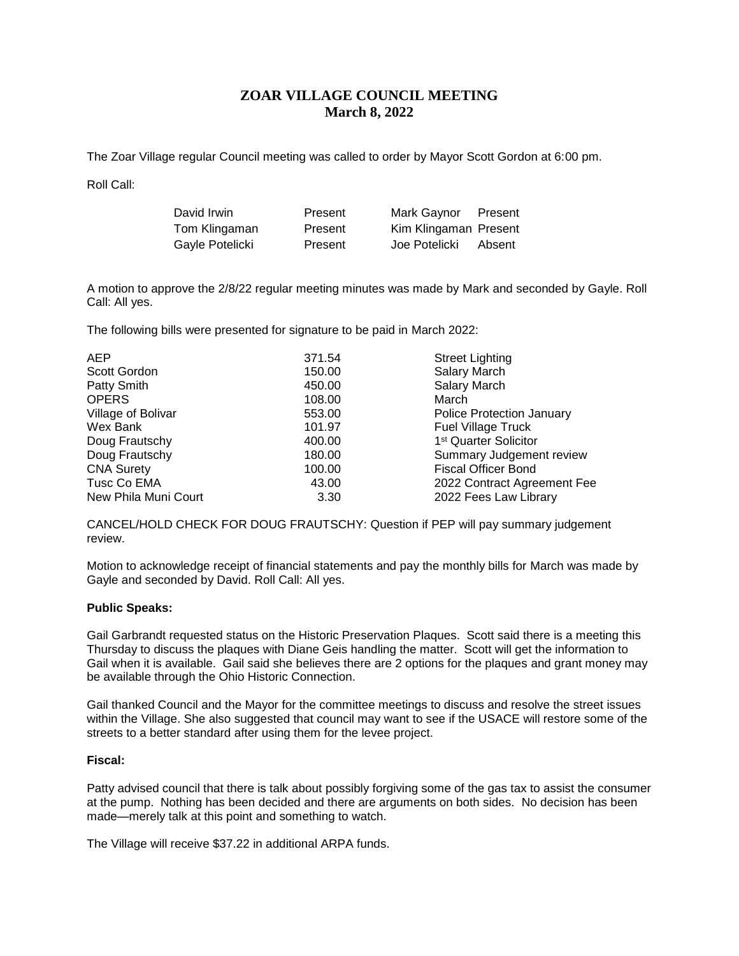# **ZOAR VILLAGE COUNCIL MEETING March 8, 2022**

The Zoar Village regular Council meeting was called to order by Mayor Scott Gordon at 6:00 pm.

Roll Call:

| David Irwin     | Present | Mark Gaynor           | Present |
|-----------------|---------|-----------------------|---------|
| Tom Klingaman   | Present | Kim Klingaman Present |         |
| Gayle Potelicki | Present | Joe Potelicki         | Absent  |

A motion to approve the 2/8/22 regular meeting minutes was made by Mark and seconded by Gayle. Roll Call: All yes.

The following bills were presented for signature to be paid in March 2022:

| <b>AEP</b>           | 371.54 | <b>Street Lighting</b>            |  |
|----------------------|--------|-----------------------------------|--|
| Scott Gordon         | 150.00 | Salary March                      |  |
| Patty Smith          | 450.00 | <b>Salary March</b>               |  |
| <b>OPERS</b>         | 108.00 | March                             |  |
| Village of Bolivar   | 553.00 | <b>Police Protection January</b>  |  |
| Wex Bank             | 101.97 | <b>Fuel Village Truck</b>         |  |
| Doug Frautschy       | 400.00 | 1 <sup>st</sup> Quarter Solicitor |  |
| Doug Frautschy       | 180.00 | Summary Judgement review          |  |
| <b>CNA Surety</b>    | 100.00 | <b>Fiscal Officer Bond</b>        |  |
| Tusc Co EMA          | 43.00  | 2022 Contract Agreement Fee       |  |
| New Phila Muni Court | 3.30   | 2022 Fees Law Library             |  |

CANCEL/HOLD CHECK FOR DOUG FRAUTSCHY: Question if PEP will pay summary judgement review.

Motion to acknowledge receipt of financial statements and pay the monthly bills for March was made by Gayle and seconded by David. Roll Call: All yes.

## **Public Speaks:**

Gail Garbrandt requested status on the Historic Preservation Plaques. Scott said there is a meeting this Thursday to discuss the plaques with Diane Geis handling the matter. Scott will get the information to Gail when it is available. Gail said she believes there are 2 options for the plaques and grant money may be available through the Ohio Historic Connection.

Gail thanked Council and the Mayor for the committee meetings to discuss and resolve the street issues within the Village. She also suggested that council may want to see if the USACE will restore some of the streets to a better standard after using them for the levee project.

#### **Fiscal:**

Patty advised council that there is talk about possibly forgiving some of the gas tax to assist the consumer at the pump. Nothing has been decided and there are arguments on both sides. No decision has been made—merely talk at this point and something to watch.

The Village will receive \$37.22 in additional ARPA funds.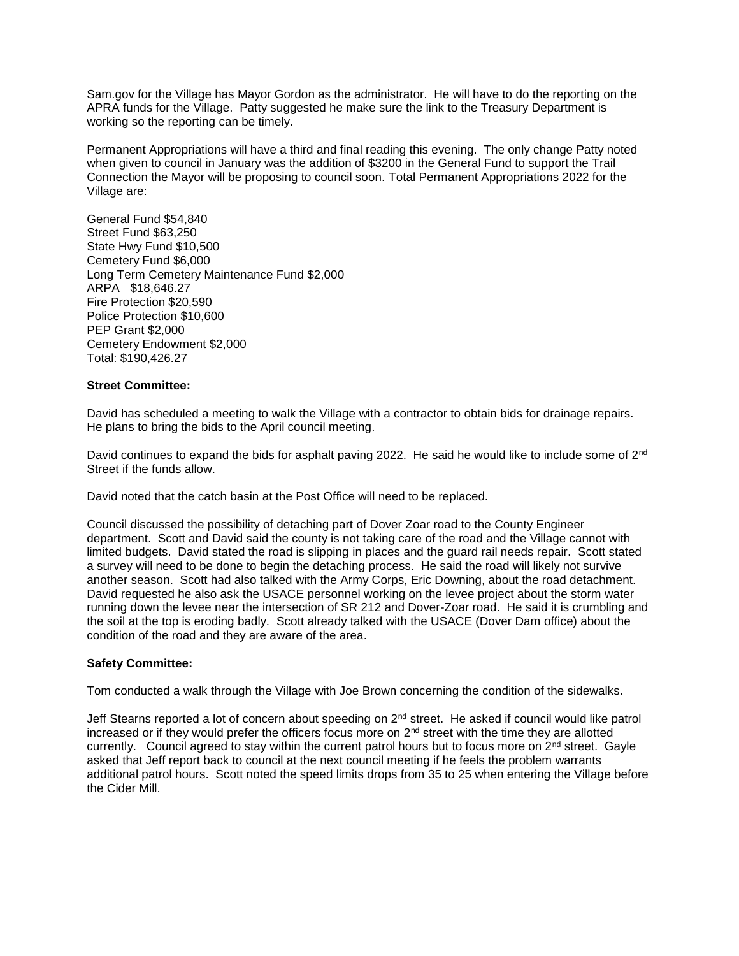Sam.gov for the Village has Mayor Gordon as the administrator. He will have to do the reporting on the APRA funds for the Village. Patty suggested he make sure the link to the Treasury Department is working so the reporting can be timely.

Permanent Appropriations will have a third and final reading this evening. The only change Patty noted when given to council in January was the addition of \$3200 in the General Fund to support the Trail Connection the Mayor will be proposing to council soon. Total Permanent Appropriations 2022 for the Village are:

General Fund \$54,840 Street Fund \$63,250 State Hwy Fund \$10,500 Cemetery Fund \$6,000 Long Term Cemetery Maintenance Fund \$2,000 ARPA \$18,646.27 Fire Protection \$20,590 Police Protection \$10,600 PEP Grant \$2,000 Cemetery Endowment \$2,000 Total: \$190,426.27

## **Street Committee:**

David has scheduled a meeting to walk the Village with a contractor to obtain bids for drainage repairs. He plans to bring the bids to the April council meeting.

David continues to expand the bids for asphalt paving 2022. He said he would like to include some of 2<sup>nd</sup> Street if the funds allow.

David noted that the catch basin at the Post Office will need to be replaced.

Council discussed the possibility of detaching part of Dover Zoar road to the County Engineer department. Scott and David said the county is not taking care of the road and the Village cannot with limited budgets. David stated the road is slipping in places and the guard rail needs repair. Scott stated a survey will need to be done to begin the detaching process. He said the road will likely not survive another season. Scott had also talked with the Army Corps, Eric Downing, about the road detachment. David requested he also ask the USACE personnel working on the levee project about the storm water running down the levee near the intersection of SR 212 and Dover-Zoar road. He said it is crumbling and the soil at the top is eroding badly. Scott already talked with the USACE (Dover Dam office) about the condition of the road and they are aware of the area.

## **Safety Committee:**

Tom conducted a walk through the Village with Joe Brown concerning the condition of the sidewalks.

Jeff Stearns reported a lot of concern about speeding on 2<sup>nd</sup> street. He asked if council would like patrol increased or if they would prefer the officers focus more on  $2<sup>nd</sup>$  street with the time they are allotted currently. Council agreed to stay within the current patrol hours but to focus more on 2nd street. Gayle asked that Jeff report back to council at the next council meeting if he feels the problem warrants additional patrol hours. Scott noted the speed limits drops from 35 to 25 when entering the Village before the Cider Mill.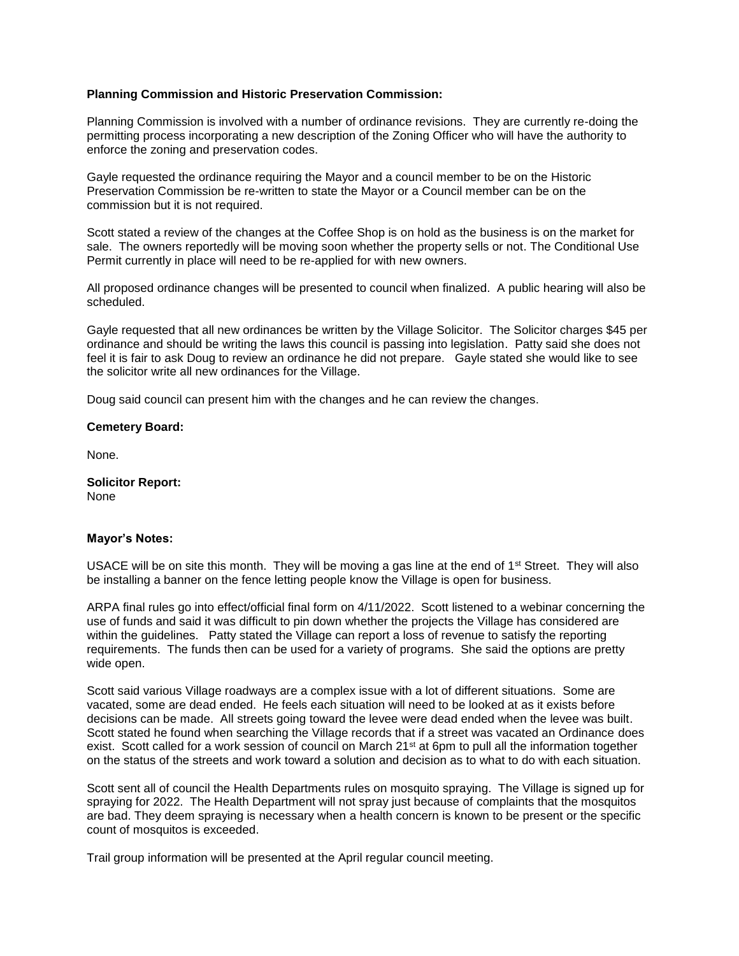## **Planning Commission and Historic Preservation Commission:**

Planning Commission is involved with a number of ordinance revisions. They are currently re-doing the permitting process incorporating a new description of the Zoning Officer who will have the authority to enforce the zoning and preservation codes.

Gayle requested the ordinance requiring the Mayor and a council member to be on the Historic Preservation Commission be re-written to state the Mayor or a Council member can be on the commission but it is not required.

Scott stated a review of the changes at the Coffee Shop is on hold as the business is on the market for sale. The owners reportedly will be moving soon whether the property sells or not. The Conditional Use Permit currently in place will need to be re-applied for with new owners.

All proposed ordinance changes will be presented to council when finalized. A public hearing will also be scheduled.

Gayle requested that all new ordinances be written by the Village Solicitor. The Solicitor charges \$45 per ordinance and should be writing the laws this council is passing into legislation. Patty said she does not feel it is fair to ask Doug to review an ordinance he did not prepare. Gayle stated she would like to see the solicitor write all new ordinances for the Village.

Doug said council can present him with the changes and he can review the changes.

#### **Cemetery Board:**

None.

**Solicitor Report:** None

#### **Mayor's Notes:**

USACE will be on site this month. They will be moving a gas line at the end of  $1<sup>st</sup>$  Street. They will also be installing a banner on the fence letting people know the Village is open for business.

ARPA final rules go into effect/official final form on 4/11/2022. Scott listened to a webinar concerning the use of funds and said it was difficult to pin down whether the projects the Village has considered are within the guidelines. Patty stated the Village can report a loss of revenue to satisfy the reporting requirements. The funds then can be used for a variety of programs. She said the options are pretty wide open.

Scott said various Village roadways are a complex issue with a lot of different situations. Some are vacated, some are dead ended. He feels each situation will need to be looked at as it exists before decisions can be made. All streets going toward the levee were dead ended when the levee was built. Scott stated he found when searching the Village records that if a street was vacated an Ordinance does exist. Scott called for a work session of council on March 21<sup>st</sup> at 6pm to pull all the information together on the status of the streets and work toward a solution and decision as to what to do with each situation.

Scott sent all of council the Health Departments rules on mosquito spraying. The Village is signed up for spraying for 2022. The Health Department will not spray just because of complaints that the mosquitos are bad. They deem spraying is necessary when a health concern is known to be present or the specific count of mosquitos is exceeded.

Trail group information will be presented at the April regular council meeting.